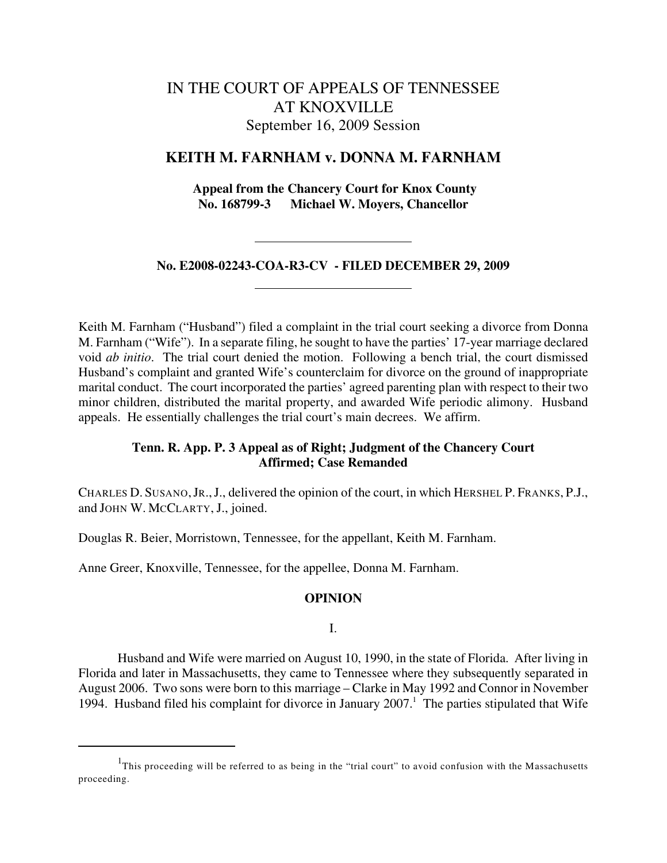# IN THE COURT OF APPEALS OF TENNESSEE AT KNOXVILLE September 16, 2009 Session

# **KEITH M. FARNHAM v. DONNA M. FARNHAM**

 **Appeal from the Chancery Court for Knox County No. 168799-3 Michael W. Moyers, Chancellor**

# **No. E2008-02243-COA-R3-CV - FILED DECEMBER 29, 2009**

Keith M. Farnham ("Husband") filed a complaint in the trial court seeking a divorce from Donna M. Farnham ("Wife"). In a separate filing, he sought to have the parties' 17-year marriage declared void *ab initio*. The trial court denied the motion. Following a bench trial, the court dismissed Husband's complaint and granted Wife's counterclaim for divorce on the ground of inappropriate marital conduct. The court incorporated the parties' agreed parenting plan with respect to their two minor children, distributed the marital property, and awarded Wife periodic alimony. Husband appeals. He essentially challenges the trial court's main decrees. We affirm.

# **Tenn. R. App. P. 3 Appeal as of Right; Judgment of the Chancery Court Affirmed; Case Remanded**

CHARLES D. SUSANO,JR.,J., delivered the opinion of the court, in which HERSHEL P. FRANKS, P.J., and JOHN W. MCCLARTY, J., joined.

Douglas R. Beier, Morristown, Tennessee, for the appellant, Keith M. Farnham.

Anne Greer, Knoxville, Tennessee, for the appellee, Donna M. Farnham.

### **OPINION**

I.

Husband and Wife were married on August 10, 1990, in the state of Florida. After living in Florida and later in Massachusetts, they came to Tennessee where they subsequently separated in August 2006. Two sons were born to this marriage – Clarke in May 1992 and Connor in November 1994. Husband filed his complaint for divorce in January  $2007<sup>1</sup>$ . The parties stipulated that Wife

 $1$ This proceeding will be referred to as being in the "trial court" to avoid confusion with the Massachusetts proceeding.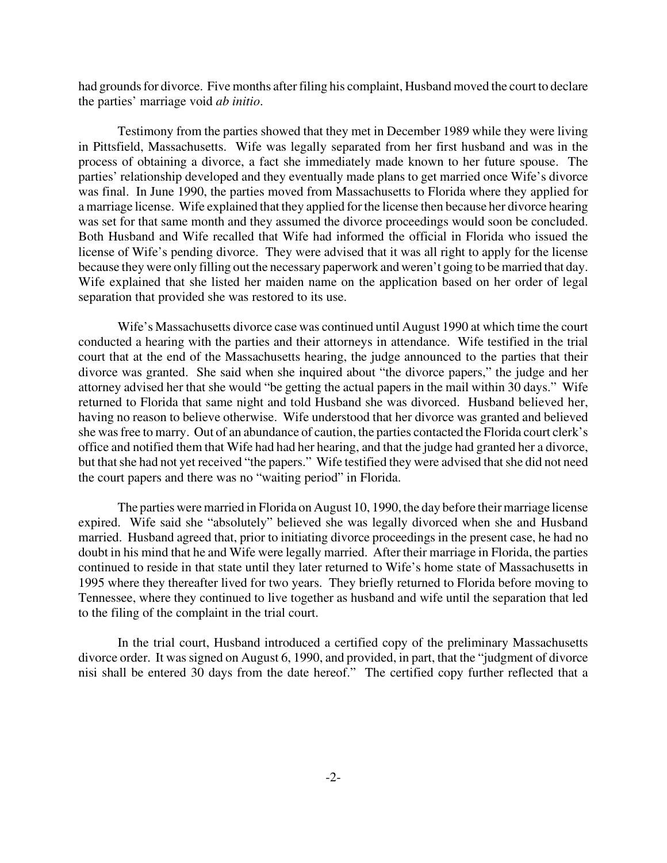had grounds for divorce. Five months after filing his complaint, Husband moved the court to declare the parties' marriage void *ab initio*.

Testimony from the parties showed that they met in December 1989 while they were living in Pittsfield, Massachusetts. Wife was legally separated from her first husband and was in the process of obtaining a divorce, a fact she immediately made known to her future spouse. The parties' relationship developed and they eventually made plans to get married once Wife's divorce was final. In June 1990, the parties moved from Massachusetts to Florida where they applied for a marriage license. Wife explained that they applied for the license then because her divorce hearing was set for that same month and they assumed the divorce proceedings would soon be concluded. Both Husband and Wife recalled that Wife had informed the official in Florida who issued the license of Wife's pending divorce. They were advised that it was all right to apply for the license because they were only filling out the necessary paperwork and weren't going to be married that day. Wife explained that she listed her maiden name on the application based on her order of legal separation that provided she was restored to its use.

Wife's Massachusetts divorce case was continued until August 1990 at which time the court conducted a hearing with the parties and their attorneys in attendance. Wife testified in the trial court that at the end of the Massachusetts hearing, the judge announced to the parties that their divorce was granted. She said when she inquired about "the divorce papers," the judge and her attorney advised her that she would "be getting the actual papers in the mail within 30 days." Wife returned to Florida that same night and told Husband she was divorced. Husband believed her, having no reason to believe otherwise. Wife understood that her divorce was granted and believed she was free to marry. Out of an abundance of caution, the parties contacted the Florida court clerk's office and notified them that Wife had had her hearing, and that the judge had granted her a divorce, but that she had not yet received "the papers." Wife testified they were advised that she did not need the court papers and there was no "waiting period" in Florida.

The parties were married in Florida on August 10, 1990, the day before their marriage license expired. Wife said she "absolutely" believed she was legally divorced when she and Husband married. Husband agreed that, prior to initiating divorce proceedings in the present case, he had no doubt in his mind that he and Wife were legally married. After their marriage in Florida, the parties continued to reside in that state until they later returned to Wife's home state of Massachusetts in 1995 where they thereafter lived for two years. They briefly returned to Florida before moving to Tennessee, where they continued to live together as husband and wife until the separation that led to the filing of the complaint in the trial court.

In the trial court, Husband introduced a certified copy of the preliminary Massachusetts divorce order. It was signed on August 6, 1990, and provided, in part, that the "judgment of divorce nisi shall be entered 30 days from the date hereof." The certified copy further reflected that a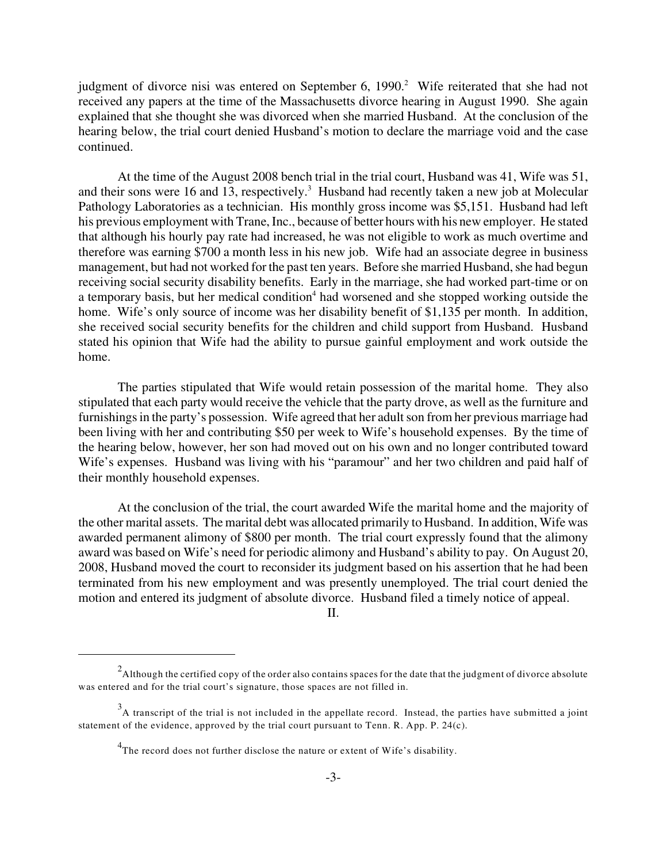judgment of divorce nisi was entered on September 6, 1990.<sup>2</sup> Wife reiterated that she had not received any papers at the time of the Massachusetts divorce hearing in August 1990. She again explained that she thought she was divorced when she married Husband. At the conclusion of the hearing below, the trial court denied Husband's motion to declare the marriage void and the case continued.

At the time of the August 2008 bench trial in the trial court, Husband was 41, Wife was 51, and their sons were 16 and 13, respectively.<sup>3</sup> Husband had recently taken a new job at Molecular Pathology Laboratories as a technician. His monthly gross income was \$5,151. Husband had left his previous employment with Trane, Inc., because of better hours with his new employer. He stated that although his hourly pay rate had increased, he was not eligible to work as much overtime and therefore was earning \$700 a month less in his new job. Wife had an associate degree in business management, but had not worked for the past ten years. Before she married Husband, she had begun receiving social security disability benefits. Early in the marriage, she had worked part-time or on a temporary basis, but her medical condition<sup>4</sup> had worsened and she stopped working outside the home. Wife's only source of income was her disability benefit of \$1,135 per month. In addition, she received social security benefits for the children and child support from Husband. Husband stated his opinion that Wife had the ability to pursue gainful employment and work outside the home.

The parties stipulated that Wife would retain possession of the marital home. They also stipulated that each party would receive the vehicle that the party drove, as well as the furniture and furnishings in the party's possession. Wife agreed that her adult son from her previous marriage had been living with her and contributing \$50 per week to Wife's household expenses. By the time of the hearing below, however, her son had moved out on his own and no longer contributed toward Wife's expenses. Husband was living with his "paramour" and her two children and paid half of their monthly household expenses.

At the conclusion of the trial, the court awarded Wife the marital home and the majority of the other marital assets. The marital debt was allocated primarily to Husband. In addition, Wife was awarded permanent alimony of \$800 per month. The trial court expressly found that the alimony award was based on Wife's need for periodic alimony and Husband's ability to pay. On August 20, 2008, Husband moved the court to reconsider its judgment based on his assertion that he had been terminated from his new employment and was presently unemployed. The trial court denied the motion and entered its judgment of absolute divorce. Husband filed a timely notice of appeal.

II.

 $^2$ Although the certified copy of the order also contains spaces for the date that the judgment of divorce absolute was entered and for the trial court's signature, those spaces are not filled in.

 $^3$ A transcript of the trial is not included in the appellate record. Instead, the parties have submitted a joint statement of the evidence, approved by the trial court pursuant to Tenn. R. App. P. 24(c).

 $4$ The record does not further disclose the nature or extent of Wife's disability.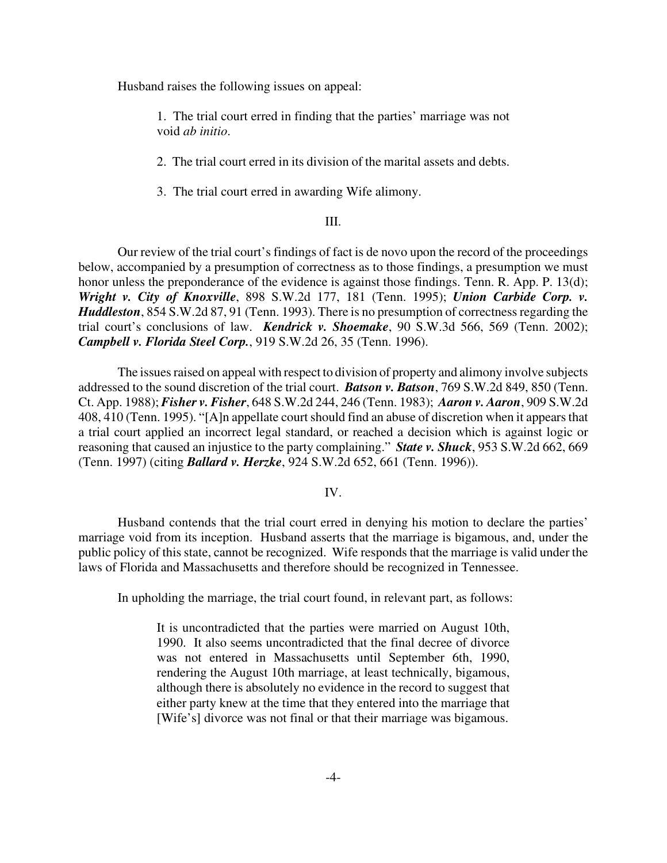Husband raises the following issues on appeal:

1. The trial court erred in finding that the parties' marriage was not void *ab initio*.

2. The trial court erred in its division of the marital assets and debts.

3. The trial court erred in awarding Wife alimony.

### III.

Our review of the trial court's findings of fact is de novo upon the record of the proceedings below, accompanied by a presumption of correctness as to those findings, a presumption we must honor unless the preponderance of the evidence is against those findings. Tenn. R. App. P. 13(d); *Wright v. City of Knoxville*, 898 S.W.2d 177, 181 (Tenn. 1995); *Union Carbide Corp. v. Huddleston*, 854 S.W.2d 87, 91 (Tenn. 1993). There is no presumption of correctness regarding the trial court's conclusions of law. *Kendrick v. Shoemake*, 90 S.W.3d 566, 569 (Tenn. 2002); *Campbell v. Florida Steel Corp.*, 919 S.W.2d 26, 35 (Tenn. 1996).

The issues raised on appeal with respect to division of property and alimony involve subjects addressed to the sound discretion of the trial court. *Batson v. Batson*, 769 S.W.2d 849, 850 (Tenn. Ct. App. 1988); *Fisher v. Fisher*, 648 S.W.2d 244, 246 (Tenn. 1983); *Aaron v. Aaron*, 909 S.W.2d 408, 410 (Tenn. 1995). "[A]n appellate court should find an abuse of discretion when it appears that a trial court applied an incorrect legal standard, or reached a decision which is against logic or reasoning that caused an injustice to the party complaining." *State v. Shuck*, 953 S.W.2d 662, 669 (Tenn. 1997) (citing *Ballard v. Herzke*, 924 S.W.2d 652, 661 (Tenn. 1996)).

#### IV.

Husband contends that the trial court erred in denying his motion to declare the parties' marriage void from its inception. Husband asserts that the marriage is bigamous, and, under the public policy of this state, cannot be recognized. Wife responds that the marriage is valid under the laws of Florida and Massachusetts and therefore should be recognized in Tennessee.

In upholding the marriage, the trial court found, in relevant part, as follows:

It is uncontradicted that the parties were married on August 10th, 1990. It also seems uncontradicted that the final decree of divorce was not entered in Massachusetts until September 6th, 1990, rendering the August 10th marriage, at least technically, bigamous, although there is absolutely no evidence in the record to suggest that either party knew at the time that they entered into the marriage that [Wife's] divorce was not final or that their marriage was bigamous.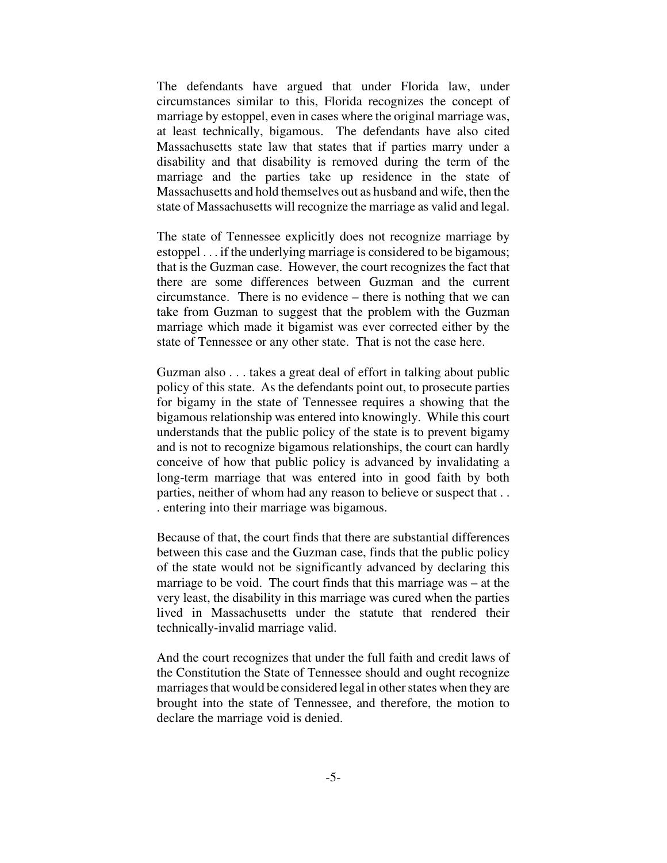The defendants have argued that under Florida law, under circumstances similar to this, Florida recognizes the concept of marriage by estoppel, even in cases where the original marriage was, at least technically, bigamous. The defendants have also cited Massachusetts state law that states that if parties marry under a disability and that disability is removed during the term of the marriage and the parties take up residence in the state of Massachusetts and hold themselves out as husband and wife, then the state of Massachusetts will recognize the marriage as valid and legal.

The state of Tennessee explicitly does not recognize marriage by estoppel . . . if the underlying marriage is considered to be bigamous; that is the Guzman case. However, the court recognizes the fact that there are some differences between Guzman and the current circumstance. There is no evidence – there is nothing that we can take from Guzman to suggest that the problem with the Guzman marriage which made it bigamist was ever corrected either by the state of Tennessee or any other state. That is not the case here.

Guzman also . . . takes a great deal of effort in talking about public policy of this state. As the defendants point out, to prosecute parties for bigamy in the state of Tennessee requires a showing that the bigamous relationship was entered into knowingly. While this court understands that the public policy of the state is to prevent bigamy and is not to recognize bigamous relationships, the court can hardly conceive of how that public policy is advanced by invalidating a long-term marriage that was entered into in good faith by both parties, neither of whom had any reason to believe or suspect that . . . entering into their marriage was bigamous.

Because of that, the court finds that there are substantial differences between this case and the Guzman case, finds that the public policy of the state would not be significantly advanced by declaring this marriage to be void. The court finds that this marriage was – at the very least, the disability in this marriage was cured when the parties lived in Massachusetts under the statute that rendered their technically-invalid marriage valid.

And the court recognizes that under the full faith and credit laws of the Constitution the State of Tennessee should and ought recognize marriages that would be considered legal in other states when they are brought into the state of Tennessee, and therefore, the motion to declare the marriage void is denied.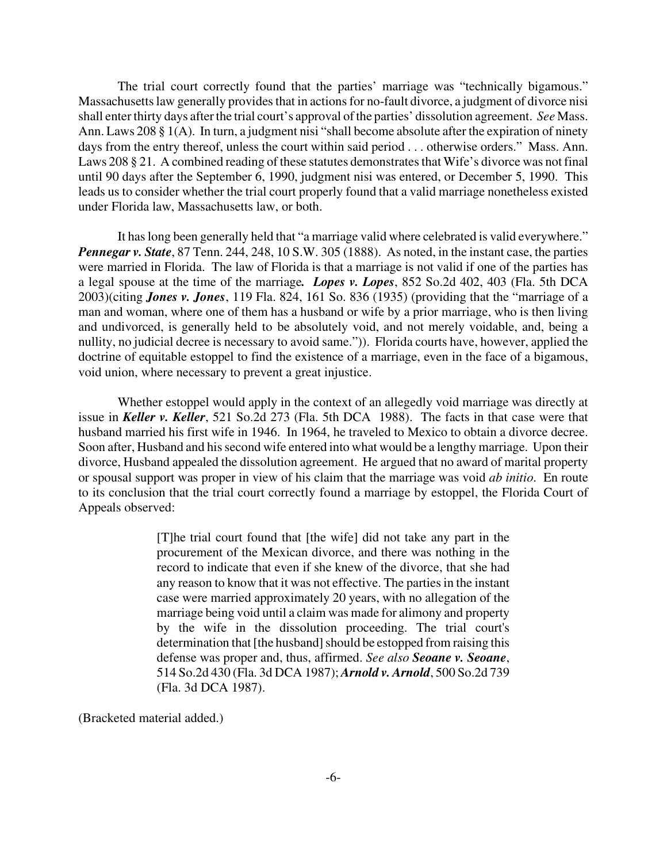The trial court correctly found that the parties' marriage was "technically bigamous." Massachusetts law generally provides that in actions for no-fault divorce, a judgment of divorce nisi shall enter thirty days after the trial court's approval of the parties' dissolution agreement. *See* Mass. Ann. Laws 208 § 1(A). In turn, a judgment nisi "shall become absolute after the expiration of ninety days from the entry thereof, unless the court within said period . . . otherwise orders." Mass. Ann. Laws 208 § 21. A combined reading of these statutes demonstrates that Wife's divorce was not final until 90 days after the September 6, 1990, judgment nisi was entered, or December 5, 1990. This leads us to consider whether the trial court properly found that a valid marriage nonetheless existed under Florida law, Massachusetts law, or both.

It has long been generally held that "a marriage valid where celebrated is valid everywhere." *Pennegar v. State*, 87 Tenn. 244, 248, 10 S.W. 305 (1888). As noted, in the instant case, the parties were married in Florida. The law of Florida is that a marriage is not valid if one of the parties has a legal spouse at the time of the marriage*. Lopes v. Lopes*, 852 So.2d 402, 403 (Fla. 5th DCA 2003)(citing *Jones v. Jones*, 119 Fla. 824, 161 So. 836 (1935) (providing that the "marriage of a man and woman, where one of them has a husband or wife by a prior marriage, who is then living and undivorced, is generally held to be absolutely void, and not merely voidable, and, being a nullity, no judicial decree is necessary to avoid same.")). Florida courts have, however, applied the doctrine of equitable estoppel to find the existence of a marriage, even in the face of a bigamous, void union, where necessary to prevent a great injustice.

Whether estoppel would apply in the context of an allegedly void marriage was directly at issue in *Keller v. Keller*, 521 So.2d 273 (Fla. 5th DCA 1988). The facts in that case were that husband married his first wife in 1946. In 1964, he traveled to Mexico to obtain a divorce decree. Soon after, Husband and his second wife entered into what would be a lengthy marriage. Upon their divorce, Husband appealed the dissolution agreement. He argued that no award of marital property or spousal support was proper in view of his claim that the marriage was void *ab initio*. En route to its conclusion that the trial court correctly found a marriage by estoppel, the Florida Court of Appeals observed:

> [T]he trial court found that [the wife] did not take any part in the procurement of the Mexican divorce, and there was nothing in the record to indicate that even if she knew of the divorce, that she had any reason to know that it was not effective. The parties in the instant case were married approximately 20 years, with no allegation of the marriage being void until a claim was made for alimony and property by the wife in the dissolution proceeding. The trial court's determination that [the husband] should be estopped from raising this defense was proper and, thus, affirmed. *See also Seoane v. Seoane*, 514 So.2d 430 (Fla. 3d DCA 1987); *Arnold v. Arnold*, 500 So.2d 739 (Fla. 3d DCA 1987).

(Bracketed material added.)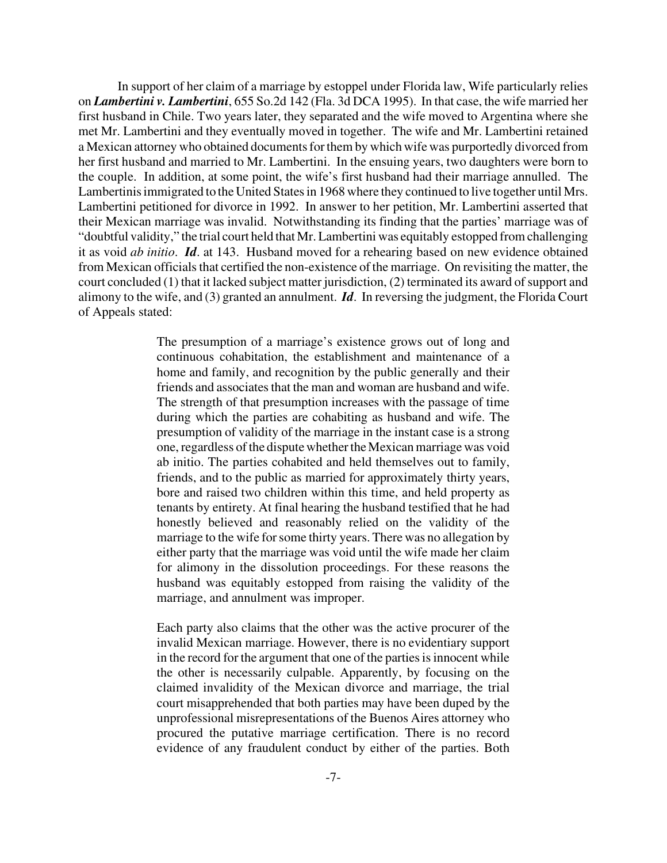In support of her claim of a marriage by estoppel under Florida law, Wife particularly relies on *Lambertini v. Lambertini*, 655 So.2d 142 (Fla. 3d DCA 1995). In that case, the wife married her first husband in Chile. Two years later, they separated and the wife moved to Argentina where she met Mr. Lambertini and they eventually moved in together. The wife and Mr. Lambertini retained a Mexican attorney who obtained documents for them by which wife was purportedly divorced from her first husband and married to Mr. Lambertini. In the ensuing years, two daughters were born to the couple. In addition, at some point, the wife's first husband had their marriage annulled. The Lambertinis immigrated to the United States in 1968 where they continued to live together until Mrs. Lambertini petitioned for divorce in 1992. In answer to her petition, Mr. Lambertini asserted that their Mexican marriage was invalid. Notwithstanding its finding that the parties' marriage was of "doubtful validity," the trial court held that Mr. Lambertini was equitably estopped from challenging it as void *ab initio*. *Id*. at 143. Husband moved for a rehearing based on new evidence obtained from Mexican officials that certified the non-existence of the marriage. On revisiting the matter, the court concluded (1) that it lacked subject matter jurisdiction, (2) terminated its award of support and alimony to the wife, and (3) granted an annulment. *Id*. In reversing the judgment, the Florida Court of Appeals stated:

> The presumption of a marriage's existence grows out of long and continuous cohabitation, the establishment and maintenance of a home and family, and recognition by the public generally and their friends and associates that the man and woman are husband and wife. The strength of that presumption increases with the passage of time during which the parties are cohabiting as husband and wife. The presumption of validity of the marriage in the instant case is a strong one, regardless of the disputewhether theMexican marriagewas void ab initio. The parties cohabited and held themselves out to family, friends, and to the public as married for approximately thirty years, bore and raised two children within this time, and held property as tenants by entirety. At final hearing the husband testified that he had honestly believed and reasonably relied on the validity of the marriage to the wife for some thirty years. There was no allegation by either party that the marriage was void until the wife made her claim for alimony in the dissolution proceedings. For these reasons the husband was equitably estopped from raising the validity of the marriage, and annulment was improper.

> Each party also claims that the other was the active procurer of the invalid Mexican marriage. However, there is no evidentiary support in the record for the argument that one of the parties is innocent while the other is necessarily culpable. Apparently, by focusing on the claimed invalidity of the Mexican divorce and marriage, the trial court misapprehended that both parties may have been duped by the unprofessional misrepresentations of the Buenos Aires attorney who procured the putative marriage certification. There is no record evidence of any fraudulent conduct by either of the parties. Both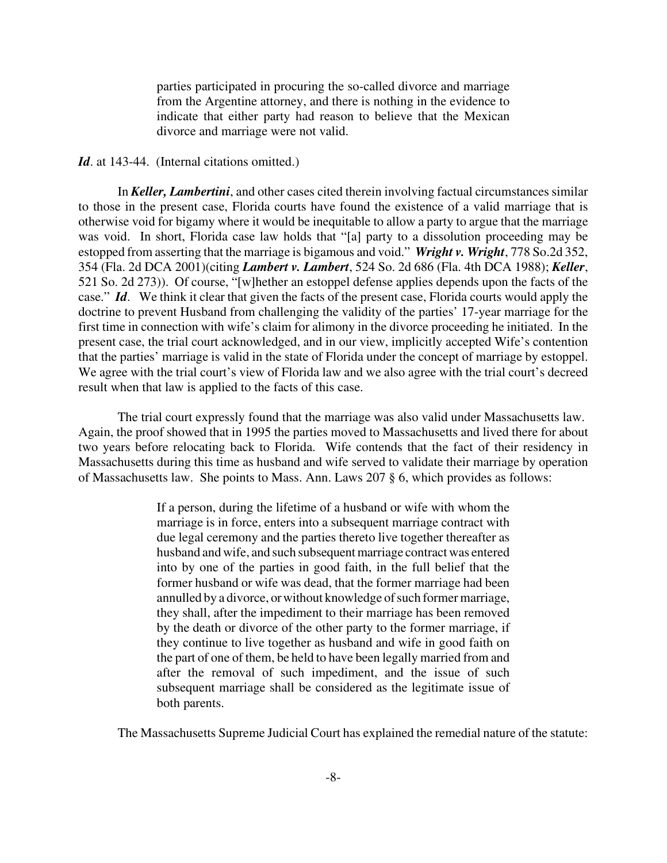parties participated in procuring the so-called divorce and marriage from the Argentine attorney, and there is nothing in the evidence to indicate that either party had reason to believe that the Mexican divorce and marriage were not valid.

## Id. at 143-44. (Internal citations omitted.)

In *Keller, Lambertini*, and other cases cited therein involving factual circumstances similar to those in the present case, Florida courts have found the existence of a valid marriage that is otherwise void for bigamy where it would be inequitable to allow a party to argue that the marriage was void. In short, Florida case law holds that "[a] party to a dissolution proceeding may be estopped from asserting that the marriage is bigamous and void." *Wright v. Wright*, 778 So.2d 352, 354 (Fla. 2d DCA 2001)(citing *Lambert v. Lambert*, 524 So. 2d 686 (Fla. 4th DCA 1988); *Keller*, 521 So. 2d 273)). Of course, "[w]hether an estoppel defense applies depends upon the facts of the case." *Id*. We think it clear that given the facts of the present case, Florida courts would apply the doctrine to prevent Husband from challenging the validity of the parties' 17-year marriage for the first time in connection with wife's claim for alimony in the divorce proceeding he initiated. In the present case, the trial court acknowledged, and in our view, implicitly accepted Wife's contention that the parties' marriage is valid in the state of Florida under the concept of marriage by estoppel. We agree with the trial court's view of Florida law and we also agree with the trial court's decreed result when that law is applied to the facts of this case.

The trial court expressly found that the marriage was also valid under Massachusetts law. Again, the proof showed that in 1995 the parties moved to Massachusetts and lived there for about two years before relocating back to Florida. Wife contends that the fact of their residency in Massachusetts during this time as husband and wife served to validate their marriage by operation of Massachusetts law. She points to Mass. Ann. Laws 207 § 6, which provides as follows:

> If a person, during the lifetime of a husband or wife with whom the marriage is in force, enters into a subsequent marriage contract with due legal ceremony and the parties thereto live together thereafter as husband and wife, and such subsequent marriage contract was entered into by one of the parties in good faith, in the full belief that the former husband or wife was dead, that the former marriage had been annulled by a divorce, or without knowledge of such former marriage, they shall, after the impediment to their marriage has been removed by the death or divorce of the other party to the former marriage, if they continue to live together as husband and wife in good faith on the part of one of them, be held to have been legally married from and after the removal of such impediment, and the issue of such subsequent marriage shall be considered as the legitimate issue of both parents.

The Massachusetts Supreme Judicial Court has explained the remedial nature of the statute: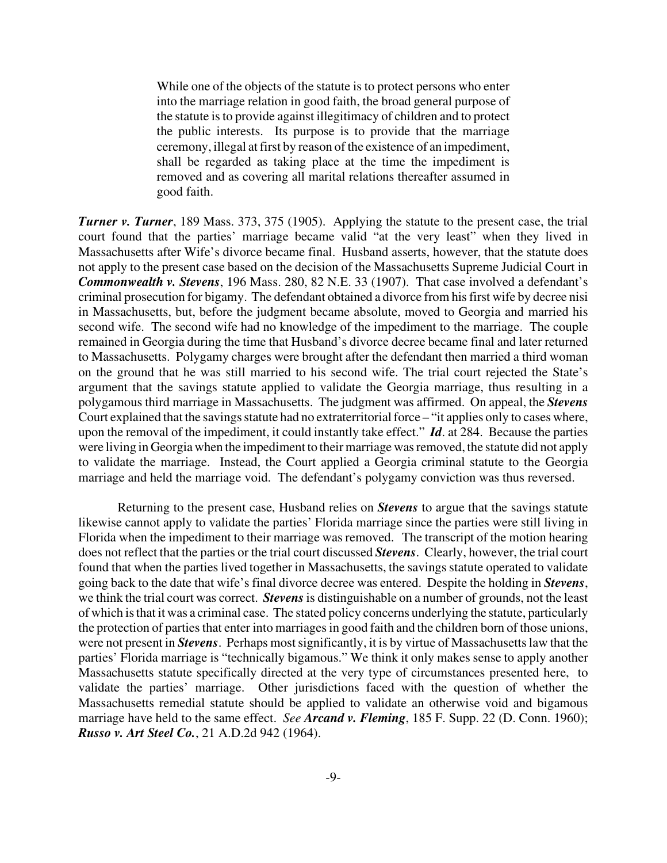While one of the objects of the statute is to protect persons who enter into the marriage relation in good faith, the broad general purpose of the statute is to provide against illegitimacy of children and to protect the public interests. Its purpose is to provide that the marriage ceremony, illegal at first by reason of the existence of an impediment, shall be regarded as taking place at the time the impediment is removed and as covering all marital relations thereafter assumed in good faith.

*Turner v. Turner*, 189 Mass. 373, 375 (1905). Applying the statute to the present case, the trial court found that the parties' marriage became valid "at the very least" when they lived in Massachusetts after Wife's divorce became final. Husband asserts, however, that the statute does not apply to the present case based on the decision of the Massachusetts Supreme Judicial Court in *Commonwealth v. Stevens*, 196 Mass. 280, 82 N.E. 33 (1907). That case involved a defendant's criminal prosecution for bigamy. The defendant obtained a divorce from his first wife by decree nisi in Massachusetts, but, before the judgment became absolute, moved to Georgia and married his second wife. The second wife had no knowledge of the impediment to the marriage. The couple remained in Georgia during the time that Husband's divorce decree became final and later returned to Massachusetts. Polygamy charges were brought after the defendant then married a third woman on the ground that he was still married to his second wife. The trial court rejected the State's argument that the savings statute applied to validate the Georgia marriage, thus resulting in a polygamous third marriage in Massachusetts. The judgment was affirmed. On appeal, the *Stevens* Court explained that the savings statute had no extraterritorial force – "it applies only to cases where, upon the removal of the impediment, it could instantly take effect." *Id*. at 284. Because the parties were living in Georgia when the impediment to their marriage was removed, the statute did not apply to validate the marriage. Instead, the Court applied a Georgia criminal statute to the Georgia marriage and held the marriage void. The defendant's polygamy conviction was thus reversed.

Returning to the present case, Husband relies on *Stevens* to argue that the savings statute likewise cannot apply to validate the parties' Florida marriage since the parties were still living in Florida when the impediment to their marriage was removed. The transcript of the motion hearing does not reflect that the parties or the trial court discussed *Stevens*. Clearly, however, the trial court found that when the parties lived together in Massachusetts, the savings statute operated to validate going back to the date that wife's final divorce decree was entered. Despite the holding in *Stevens*, we think the trial court was correct. *Stevens* is distinguishable on a number of grounds, not the least of which is that it was a criminal case. The stated policy concerns underlying the statute, particularly the protection of parties that enter into marriages in good faith and the children born of those unions, were not present in *Stevens*. Perhaps most significantly, it is by virtue of Massachusetts law that the parties' Florida marriage is "technically bigamous." We think it only makes sense to apply another Massachusetts statute specifically directed at the very type of circumstances presented here, to validate the parties' marriage. Other jurisdictions faced with the question of whether the Massachusetts remedial statute should be applied to validate an otherwise void and bigamous marriage have held to the same effect. *See Arcand v. Fleming*, 185 F. Supp. 22 (D. Conn. 1960); *Russo v. Art Steel Co.*, 21 A.D.2d 942 (1964).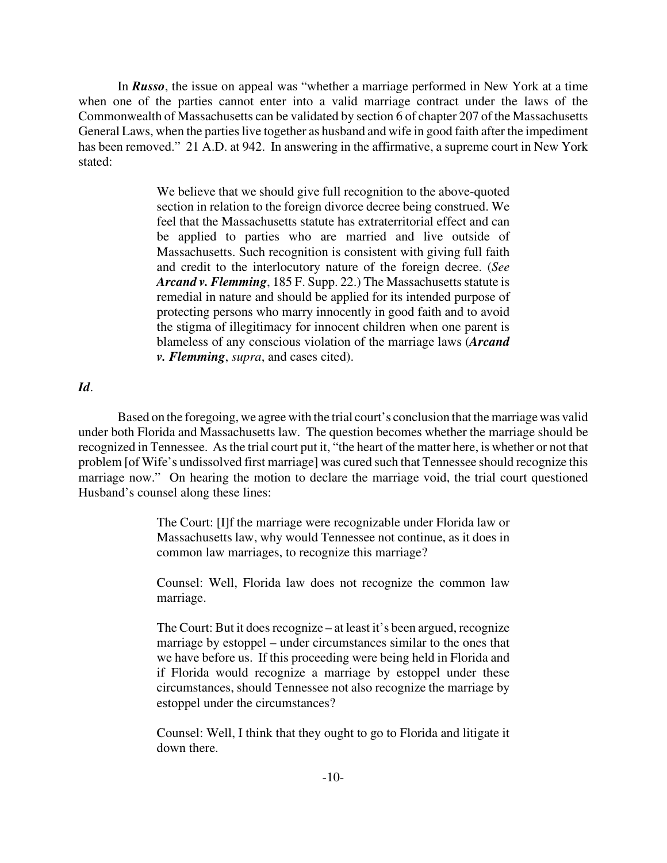In *Russo*, the issue on appeal was "whether a marriage performed in New York at a time when one of the parties cannot enter into a valid marriage contract under the laws of the Commonwealth of Massachusetts can be validated by section 6 of chapter 207 of the Massachusetts General Laws, when the parties live together as husband and wife in good faith after the impediment has been removed." 21 A.D. at 942. In answering in the affirmative, a supreme court in New York stated:

> We believe that we should give full recognition to the above-quoted section in relation to the foreign divorce decree being construed. We feel that the Massachusetts statute has extraterritorial effect and can be applied to parties who are married and live outside of Massachusetts. Such recognition is consistent with giving full faith and credit to the interlocutory nature of the foreign decree. (*See Arcand v. Flemming*, 185 F. Supp. 22.) The Massachusetts statute is remedial in nature and should be applied for its intended purpose of protecting persons who marry innocently in good faith and to avoid the stigma of illegitimacy for innocent children when one parent is blameless of any conscious violation of the marriage laws (*Arcand v. Flemming*, *supra*, and cases cited).

# *Id*.

Based on the foregoing, we agree with the trial court's conclusion that the marriage was valid under both Florida and Massachusetts law. The question becomes whether the marriage should be recognized in Tennessee. As the trial court put it, "the heart of the matter here, is whether or not that problem [of Wife's undissolved first marriage] was cured such that Tennessee should recognize this marriage now." On hearing the motion to declare the marriage void, the trial court questioned Husband's counsel along these lines:

> The Court: [I]f the marriage were recognizable under Florida law or Massachusetts law, why would Tennessee not continue, as it does in common law marriages, to recognize this marriage?

> Counsel: Well, Florida law does not recognize the common law marriage.

> The Court: But it does recognize – at least it's been argued, recognize marriage by estoppel – under circumstances similar to the ones that we have before us. If this proceeding were being held in Florida and if Florida would recognize a marriage by estoppel under these circumstances, should Tennessee not also recognize the marriage by estoppel under the circumstances?

> Counsel: Well, I think that they ought to go to Florida and litigate it down there.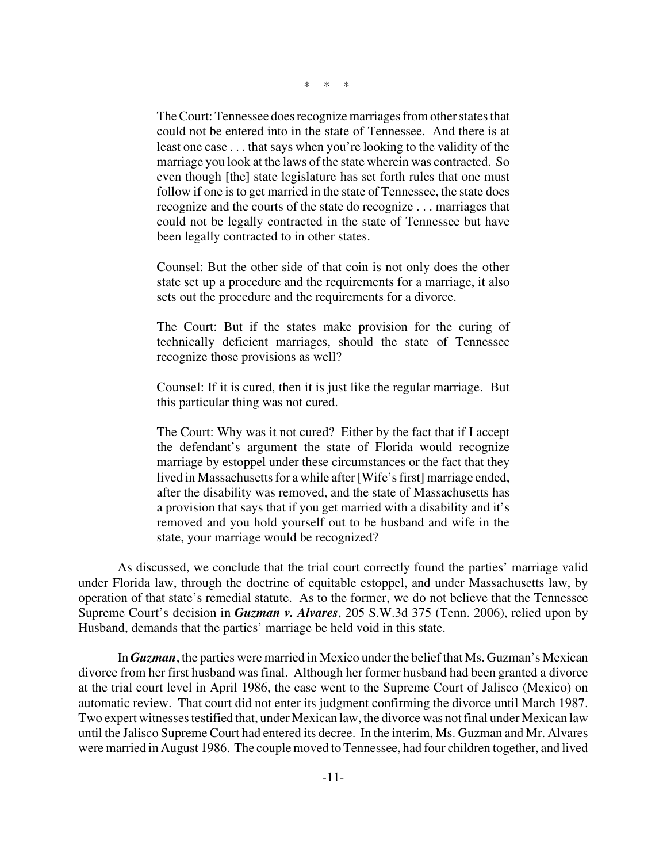\* \* \*

The Court: Tennessee does recognize marriages from other states that could not be entered into in the state of Tennessee. And there is at least one case . . . that says when you're looking to the validity of the marriage you look at the laws of the state wherein was contracted. So even though [the] state legislature has set forth rules that one must follow if one is to get married in the state of Tennessee, the state does recognize and the courts of the state do recognize . . . marriages that could not be legally contracted in the state of Tennessee but have been legally contracted to in other states.

Counsel: But the other side of that coin is not only does the other state set up a procedure and the requirements for a marriage, it also sets out the procedure and the requirements for a divorce.

The Court: But if the states make provision for the curing of technically deficient marriages, should the state of Tennessee recognize those provisions as well?

Counsel: If it is cured, then it is just like the regular marriage. But this particular thing was not cured.

The Court: Why was it not cured? Either by the fact that if I accept the defendant's argument the state of Florida would recognize marriage by estoppel under these circumstances or the fact that they lived in Massachusetts for a while after [Wife's first] marriage ended, after the disability was removed, and the state of Massachusetts has a provision that says that if you get married with a disability and it's removed and you hold yourself out to be husband and wife in the state, your marriage would be recognized?

As discussed, we conclude that the trial court correctly found the parties' marriage valid under Florida law, through the doctrine of equitable estoppel, and under Massachusetts law, by operation of that state's remedial statute. As to the former, we do not believe that the Tennessee Supreme Court's decision in *Guzman v. Alvares*, 205 S.W.3d 375 (Tenn. 2006), relied upon by Husband, demands that the parties' marriage be held void in this state.

In *Guzman*, the parties were married in Mexico under the belief that Ms. Guzman's Mexican divorce from her first husband was final. Although her former husband had been granted a divorce at the trial court level in April 1986, the case went to the Supreme Court of Jalisco (Mexico) on automatic review. That court did not enter its judgment confirming the divorce until March 1987. Two expert witnesses testified that, under Mexican law, the divorce was not final under Mexican law until the Jalisco Supreme Court had entered its decree. In the interim, Ms. Guzman and Mr. Alvares were married in August 1986. The couple moved to Tennessee, had four children together, and lived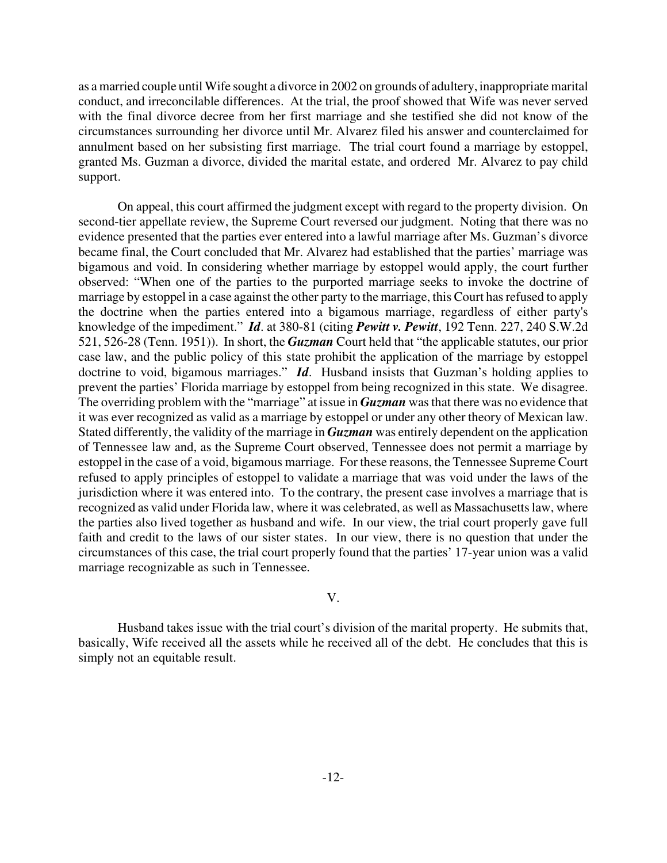as a married couple until Wife sought a divorce in 2002 on grounds of adultery, inappropriate marital conduct, and irreconcilable differences. At the trial, the proof showed that Wife was never served with the final divorce decree from her first marriage and she testified she did not know of the circumstances surrounding her divorce until Mr. Alvarez filed his answer and counterclaimed for annulment based on her subsisting first marriage. The trial court found a marriage by estoppel, granted Ms. Guzman a divorce, divided the marital estate, and ordered Mr. Alvarez to pay child support.

On appeal, this court affirmed the judgment except with regard to the property division. On second-tier appellate review, the Supreme Court reversed our judgment. Noting that there was no evidence presented that the parties ever entered into a lawful marriage after Ms. Guzman's divorce became final, the Court concluded that Mr. Alvarez had established that the parties' marriage was bigamous and void. In considering whether marriage by estoppel would apply, the court further observed: "When one of the parties to the purported marriage seeks to invoke the doctrine of marriage by estoppel in a case against the other party to the marriage, this Court has refused to apply the doctrine when the parties entered into a bigamous marriage, regardless of either party's knowledge of the impediment." *Id*. at 380-81 (citing *Pewitt v. Pewitt*, 192 Tenn. 227, 240 S.W.2d 521, 526-28 (Tenn. 1951)). In short, the *Guzman* Court held that "the applicable statutes, our prior case law, and the public policy of this state prohibit the application of the marriage by estoppel doctrine to void, bigamous marriages." *Id*. Husband insists that Guzman's holding applies to prevent the parties' Florida marriage by estoppel from being recognized in this state. We disagree. The overriding problem with the "marriage" at issue in *Guzman* was that there was no evidence that it was ever recognized as valid as a marriage by estoppel or under any other theory of Mexican law. Stated differently, the validity of the marriage in *Guzman* was entirely dependent on the application of Tennessee law and, as the Supreme Court observed, Tennessee does not permit a marriage by estoppel in the case of a void, bigamous marriage. For these reasons, the Tennessee Supreme Court refused to apply principles of estoppel to validate a marriage that was void under the laws of the jurisdiction where it was entered into. To the contrary, the present case involves a marriage that is recognized as valid under Florida law, where it was celebrated, as well as Massachusetts law, where the parties also lived together as husband and wife. In our view, the trial court properly gave full faith and credit to the laws of our sister states. In our view, there is no question that under the circumstances of this case, the trial court properly found that the parties' 17-year union was a valid marriage recognizable as such in Tennessee.

### V.

Husband takes issue with the trial court's division of the marital property. He submits that, basically, Wife received all the assets while he received all of the debt. He concludes that this is simply not an equitable result.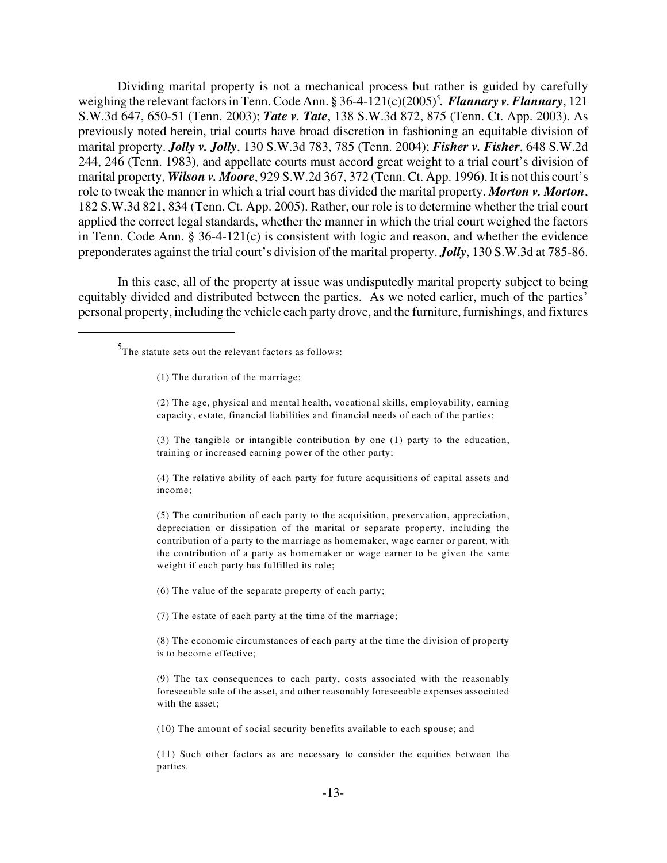Dividing marital property is not a mechanical process but rather is guided by carefully weighing the relevant factors in Tenn. Code Ann. § 36-4-121(c)(2005)<sup>5</sup>. Flannary v. Flannary, 121 S.W.3d 647, 650-51 (Tenn. 2003); *Tate v. Tate*, 138 S.W.3d 872, 875 (Tenn. Ct. App. 2003). As previously noted herein, trial courts have broad discretion in fashioning an equitable division of marital property. *Jolly v. Jolly*, 130 S.W.3d 783, 785 (Tenn. 2004); *Fisher v. Fisher*, 648 S.W.2d 244, 246 (Tenn. 1983), and appellate courts must accord great weight to a trial court's division of marital property, *Wilson v. Moore*, 929 S.W.2d 367, 372 (Tenn. Ct. App. 1996). It is not this court's role to tweak the manner in which a trial court has divided the marital property. *Morton v. Morton*, 182 S.W.3d 821, 834 (Tenn. Ct. App. 2005). Rather, our role is to determine whether the trial court applied the correct legal standards, whether the manner in which the trial court weighed the factors in Tenn. Code Ann. § 36-4-121(c) is consistent with logic and reason, and whether the evidence preponderates against the trial court's division of the marital property. *Jolly*, 130 S.W.3d at 785-86.

In this case, all of the property at issue was undisputedly marital property subject to being equitably divided and distributed between the parties. As we noted earlier, much of the parties' personal property, including the vehicle each party drove, and the furniture, furnishings, and fixtures

(4) The relative ability of each party for future acquisitions of capital assets and income;

(5) The contribution of each party to the acquisition, preservation, appreciation, depreciation or dissipation of the marital or separate property, including the contribution of a party to the marriage as homemaker, wage earner or parent, with the contribution of a party as homemaker or wage earner to be given the same weight if each party has fulfilled its role;

(6) The value of the separate property of each party;

(7) The estate of each party at the time of the marriage;

(8) The economic circumstances of each party at the time the division of property is to become effective;

(9) The tax consequences to each party, costs associated with the reasonably foreseeable sale of the asset, and other reasonably foreseeable expenses associated with the asset;

(10) The amount of social security benefits available to each spouse; and

(11) Such other factors as are necessary to consider the equities between the parties.

 $5$ The statute sets out the relevant factors as follows:

<sup>(1)</sup> The duration of the marriage;

<sup>(2)</sup> The age, physical and mental health, vocational skills, employability, earning capacity, estate, financial liabilities and financial needs of each of the parties;

<sup>(3)</sup> The tangible or intangible contribution by one (1) party to the education, training or increased earning power of the other party;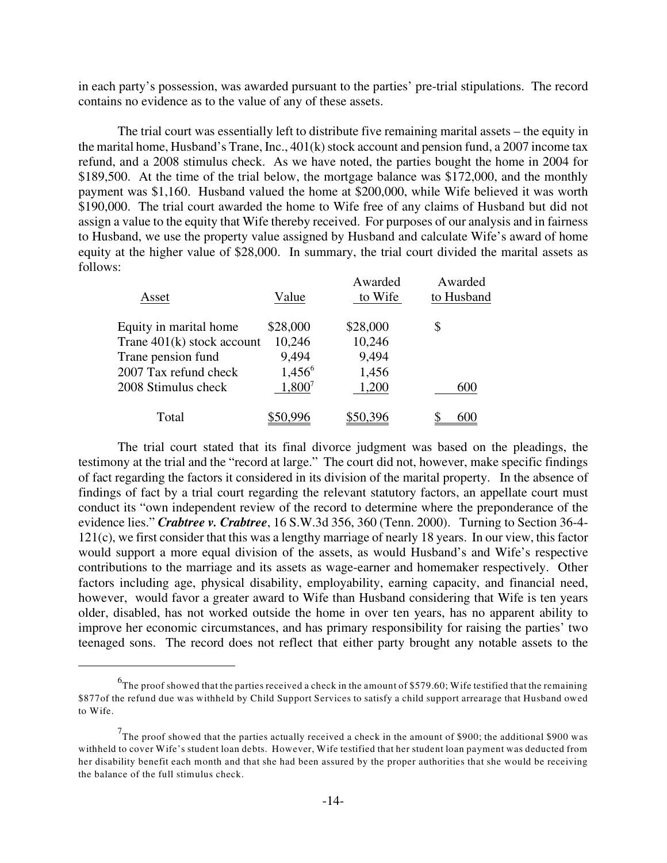in each party's possession, was awarded pursuant to the parties' pre-trial stipulations. The record contains no evidence as to the value of any of these assets.

The trial court was essentially left to distribute five remaining marital assets – the equity in the marital home, Husband's Trane, Inc.,  $401(k)$  stock account and pension fund, a 2007 income tax refund, and a 2008 stimulus check. As we have noted, the parties bought the home in 2004 for \$189,500. At the time of the trial below, the mortgage balance was \$172,000, and the monthly payment was \$1,160. Husband valued the home at \$200,000, while Wife believed it was worth \$190,000. The trial court awarded the home to Wife free of any claims of Husband but did not assign a value to the equity that Wife thereby received. For purposes of our analysis and in fairness to Husband, we use the property value assigned by Husband and calculate Wife's award of home equity at the higher value of \$28,000. In summary, the trial court divided the marital assets as follows:

| Asset                        | Value     | Awarded<br>to Wife | Awarded<br>to Husband |
|------------------------------|-----------|--------------------|-----------------------|
| Equity in marital home       | \$28,000  | \$28,000           | \$                    |
| Trane $401(k)$ stock account | 10,246    | 10,246             |                       |
| Trane pension fund           | 9,494     | 9,494              |                       |
| 2007 Tax refund check        | $1,456^6$ | 1,456              |                       |
| 2008 Stimulus check          | $1,800^7$ | 1,200              | 600                   |
| Total                        |           |                    |                       |

The trial court stated that its final divorce judgment was based on the pleadings, the testimony at the trial and the "record at large." The court did not, however, make specific findings of fact regarding the factors it considered in its division of the marital property. In the absence of findings of fact by a trial court regarding the relevant statutory factors, an appellate court must conduct its "own independent review of the record to determine where the preponderance of the evidence lies." *Crabtree v. Crabtree*, 16 S.W.3d 356, 360 (Tenn. 2000). Turning to Section 36-4- 121(c), we first consider that this was a lengthy marriage of nearly 18 years. In our view, this factor would support a more equal division of the assets, as would Husband's and Wife's respective contributions to the marriage and its assets as wage-earner and homemaker respectively. Other factors including age, physical disability, employability, earning capacity, and financial need, however, would favor a greater award to Wife than Husband considering that Wife is ten years older, disabled, has not worked outside the home in over ten years, has no apparent ability to improve her economic circumstances, and has primary responsibility for raising the parties' two teenaged sons. The record does not reflect that either party brought any notable assets to the

 $^6$ The proof showed that the parties received a check in the amount of \$579.60; Wife testified that the remaining \$877of the refund due was withheld by Child Support Services to satisfy a child support arrearage that Husband owed to Wife.

 $^{7}$ The proof showed that the parties actually received a check in the amount of \$900; the additional \$900 was withheld to cover Wife's student loan debts. However, Wife testified that her student loan payment was deducted from her disability benefit each month and that she had been assured by the proper authorities that she would be receiving the balance of the full stimulus check.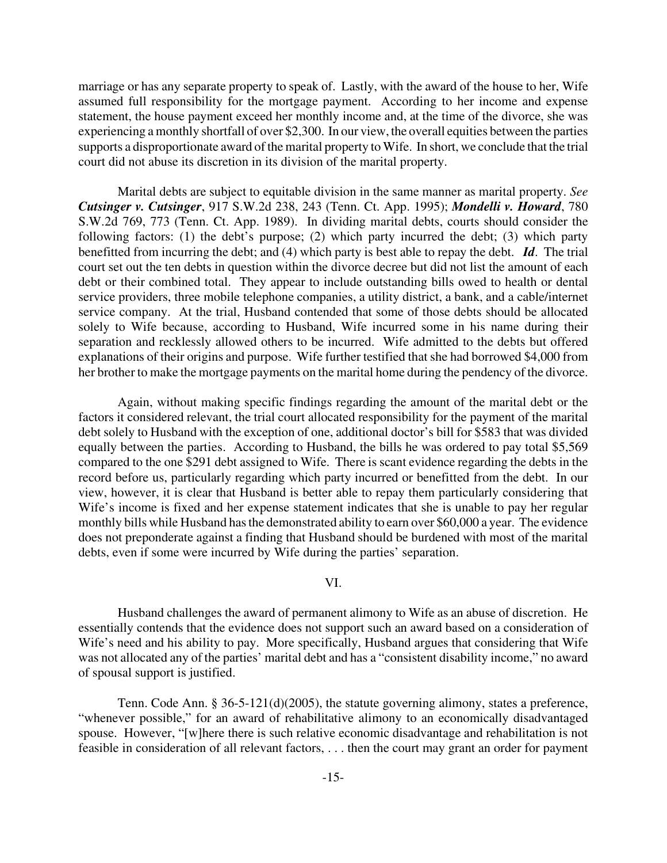marriage or has any separate property to speak of. Lastly, with the award of the house to her, Wife assumed full responsibility for the mortgage payment. According to her income and expense statement, the house payment exceed her monthly income and, at the time of the divorce, she was experiencing a monthly shortfall of over \$2,300. In our view, the overall equities between the parties supports a disproportionate award of the marital property to Wife. In short, we conclude that the trial court did not abuse its discretion in its division of the marital property.

Marital debts are subject to equitable division in the same manner as marital property. *See Cutsinger v. Cutsinger*, 917 S.W.2d 238, 243 (Tenn. Ct. App. 1995); *Mondelli v. Howard*, 780 S.W.2d 769, 773 (Tenn. Ct. App. 1989). In dividing marital debts, courts should consider the following factors: (1) the debt's purpose; (2) which party incurred the debt; (3) which party benefitted from incurring the debt; and (4) which party is best able to repay the debt. *Id*. The trial court set out the ten debts in question within the divorce decree but did not list the amount of each debt or their combined total. They appear to include outstanding bills owed to health or dental service providers, three mobile telephone companies, a utility district, a bank, and a cable/internet service company. At the trial, Husband contended that some of those debts should be allocated solely to Wife because, according to Husband, Wife incurred some in his name during their separation and recklessly allowed others to be incurred. Wife admitted to the debts but offered explanations of their origins and purpose. Wife further testified that she had borrowed \$4,000 from her brother to make the mortgage payments on the marital home during the pendency of the divorce.

Again, without making specific findings regarding the amount of the marital debt or the factors it considered relevant, the trial court allocated responsibility for the payment of the marital debt solely to Husband with the exception of one, additional doctor's bill for \$583 that was divided equally between the parties. According to Husband, the bills he was ordered to pay total \$5,569 compared to the one \$291 debt assigned to Wife. There is scant evidence regarding the debts in the record before us, particularly regarding which party incurred or benefitted from the debt. In our view, however, it is clear that Husband is better able to repay them particularly considering that Wife's income is fixed and her expense statement indicates that she is unable to pay her regular monthly bills while Husband has the demonstrated ability to earn over \$60,000 a year. The evidence does not preponderate against a finding that Husband should be burdened with most of the marital debts, even if some were incurred by Wife during the parties' separation.

# VI.

Husband challenges the award of permanent alimony to Wife as an abuse of discretion. He essentially contends that the evidence does not support such an award based on a consideration of Wife's need and his ability to pay. More specifically, Husband argues that considering that Wife was not allocated any of the parties' marital debt and has a "consistent disability income," no award of spousal support is justified.

Tenn. Code Ann. § 36-5-121(d)(2005), the statute governing alimony, states a preference, "whenever possible," for an award of rehabilitative alimony to an economically disadvantaged spouse. However, "[w]here there is such relative economic disadvantage and rehabilitation is not feasible in consideration of all relevant factors, . . . then the court may grant an order for payment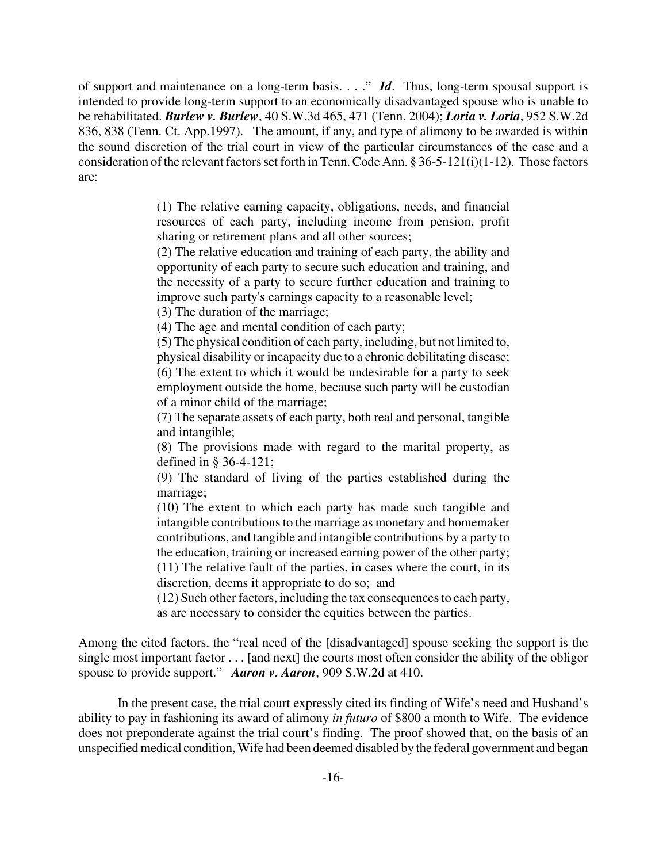of support and maintenance on a long-term basis. . . ." *Id*. Thus, long-term spousal support is intended to provide long-term support to an economically disadvantaged spouse who is unable to be rehabilitated. *Burlew v. Burlew*, 40 S.W.3d 465, 471 (Tenn. 2004); *Loria v. Loria*, 952 S.W.2d 836, 838 (Tenn. Ct. App.1997). The amount, if any, and type of alimony to be awarded is within the sound discretion of the trial court in view of the particular circumstances of the case and a consideration of the relevant factors set forth in Tenn. Code Ann. § 36-5-121(i)(1-12). Those factors are:

> (1) The relative earning capacity, obligations, needs, and financial resources of each party, including income from pension, profit sharing or retirement plans and all other sources;

> (2) The relative education and training of each party, the ability and opportunity of each party to secure such education and training, and the necessity of a party to secure further education and training to improve such party's earnings capacity to a reasonable level;

(3) The duration of the marriage;

(4) The age and mental condition of each party;

(5) The physical condition of each party, including, but not limited to, physical disability or incapacity due to a chronic debilitating disease; (6) The extent to which it would be undesirable for a party to seek employment outside the home, because such party will be custodian of a minor child of the marriage;

(7) The separate assets of each party, both real and personal, tangible and intangible;

(8) The provisions made with regard to the marital property, as defined in § 36-4-121;

(9) The standard of living of the parties established during the marriage;

(10) The extent to which each party has made such tangible and intangible contributions to the marriage as monetary and homemaker contributions, and tangible and intangible contributions by a party to the education, training or increased earning power of the other party; (11) The relative fault of the parties, in cases where the court, in its

discretion, deems it appropriate to do so; and

(12) Such other factors, including the tax consequences to each party, as are necessary to consider the equities between the parties.

Among the cited factors, the "real need of the [disadvantaged] spouse seeking the support is the single most important factor . . . [and next] the courts most often consider the ability of the obligor spouse to provide support." *Aaron v. Aaron*, 909 S.W.2d at 410.

In the present case, the trial court expressly cited its finding of Wife's need and Husband's ability to pay in fashioning its award of alimony *in futuro* of \$800 a month to Wife. The evidence does not preponderate against the trial court's finding. The proof showed that, on the basis of an unspecified medical condition, Wife had been deemed disabled by the federal government and began